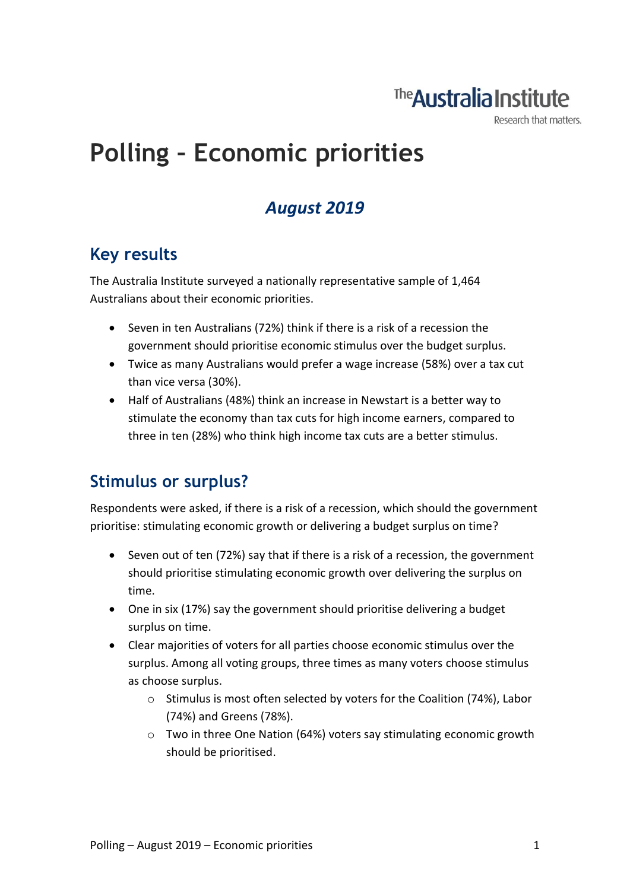# The **Australia Institute**

Research that matters.

# **Polling – Economic priorities**

# *August 2019*

### **Key results**

The Australia Institute surveyed a nationally representative sample of 1,464 Australians about their economic priorities.

- Seven in ten Australians (72%) think if there is a risk of a recession the government should prioritise economic stimulus over the budget surplus.
- Twice as many Australians would prefer a wage increase (58%) over a tax cut than vice versa (30%).
- Half of Australians (48%) think an increase in Newstart is a better way to stimulate the economy than tax cuts for high income earners, compared to three in ten (28%) who think high income tax cuts are a better stimulus.

## **Stimulus or surplus?**

Respondents were asked, if there is a risk of a recession, which should the government prioritise: stimulating economic growth or delivering a budget surplus on time?

- Seven out of ten (72%) say that if there is a risk of a recession, the government should prioritise stimulating economic growth over delivering the surplus on time.
- One in six (17%) say the government should prioritise delivering a budget surplus on time.
- Clear majorities of voters for all parties choose economic stimulus over the surplus. Among all voting groups, three times as many voters choose stimulus as choose surplus.
	- o Stimulus is most often selected by voters for the Coalition (74%), Labor (74%) and Greens (78%).
	- o Two in three One Nation (64%) voters say stimulating economic growth should be prioritised.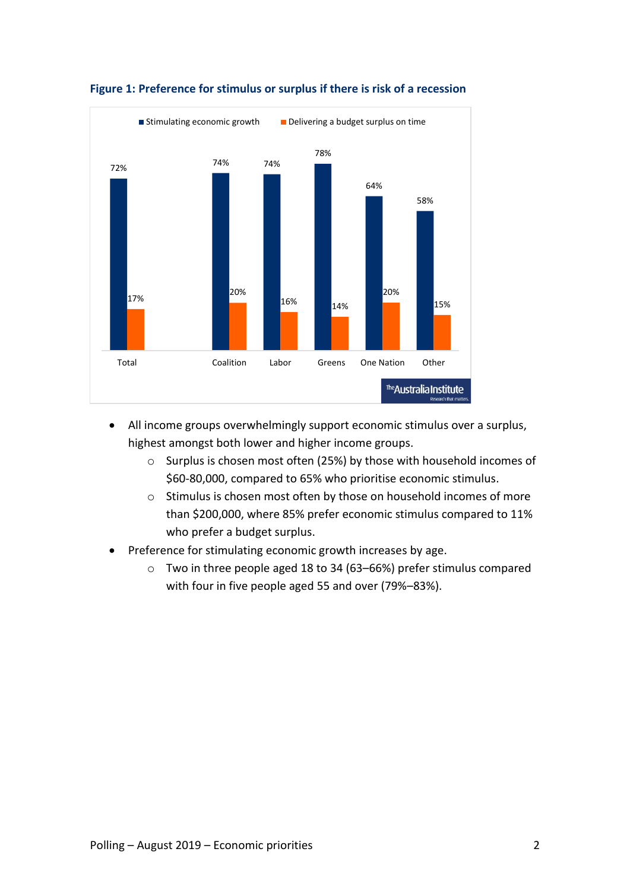

#### **Figure 1: Preference for stimulus or surplus if there is risk of a recession**

- All income groups overwhelmingly support economic stimulus over a surplus, highest amongst both lower and higher income groups.
	- o Surplus is chosen most often (25%) by those with household incomes of \$60-80,000, compared to 65% who prioritise economic stimulus.
	- o Stimulus is chosen most often by those on household incomes of more than \$200,000, where 85% prefer economic stimulus compared to 11% who prefer a budget surplus.
- Preference for stimulating economic growth increases by age.
	- o Two in three people aged 18 to 34 (63–66%) prefer stimulus compared with four in five people aged 55 and over (79%–83%).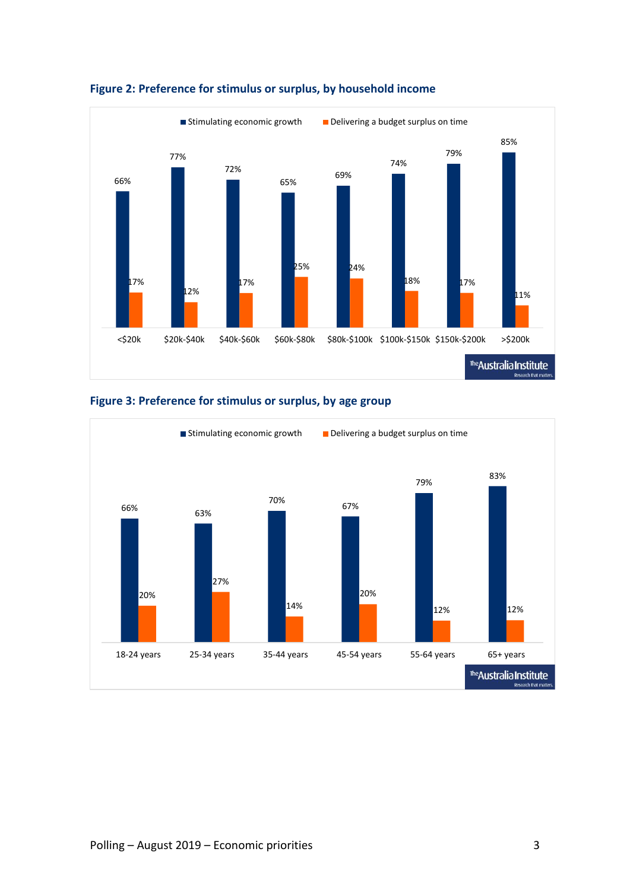





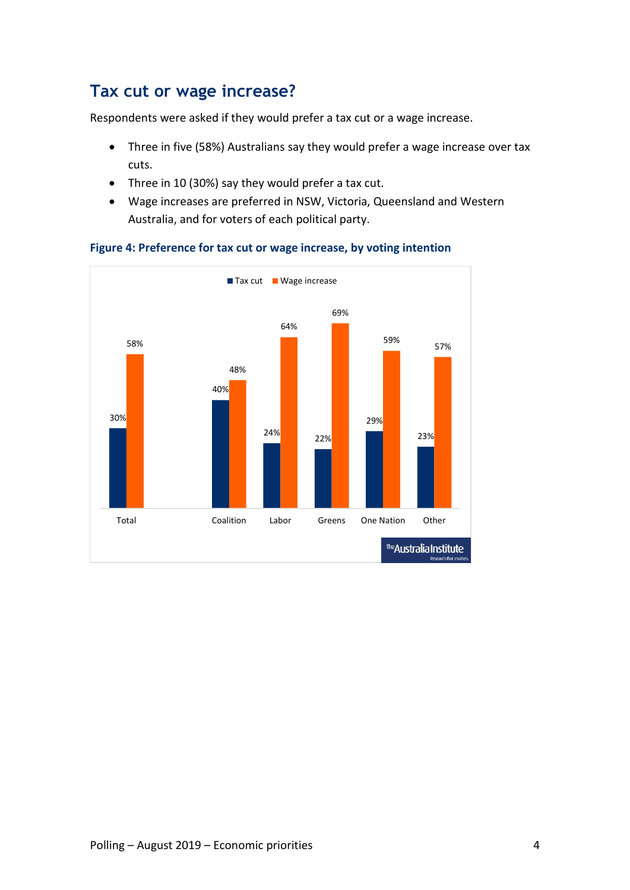### **Tax cut or wage increase?**

Respondents were asked if they would prefer a tax cut or a wage increase.

- Three in five (58%) Australians say they would prefer a wage increase over tax cuts.
- Three in 10 (30%) say they would prefer a tax cut.
- Wage increases are preferred in NSW, Victoria, Queensland and Western Australia, and for voters of each political party.



#### **Figure 4: Preference for tax cut or wage increase, by voting intention**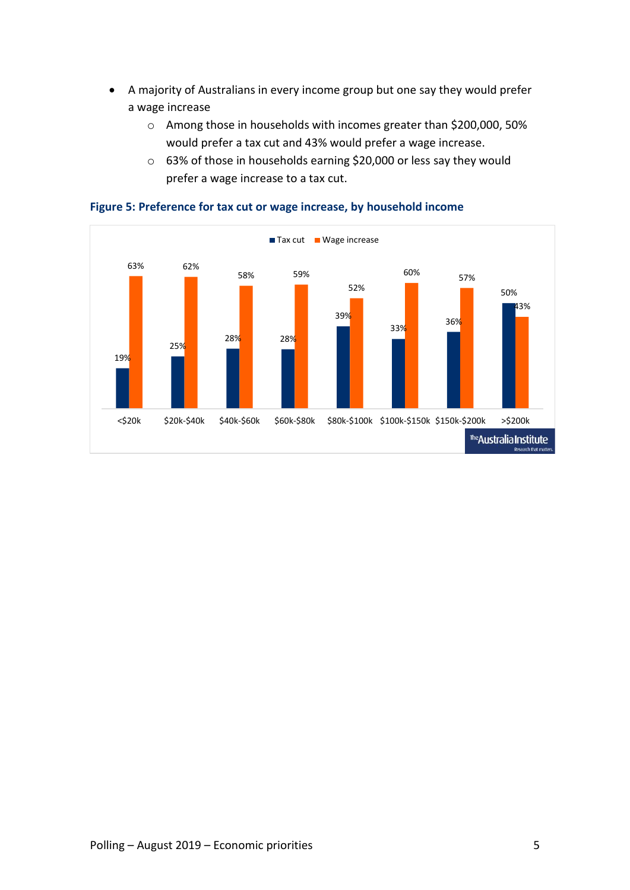- A majority of Australians in every income group but one say they would prefer a wage increase
	- o Among those in households with incomes greater than \$200,000, 50% would prefer a tax cut and 43% would prefer a wage increase.
	- o 63% of those in households earning \$20,000 or less say they would prefer a wage increase to a tax cut.



#### **Figure 5: Preference for tax cut or wage increase, by household income**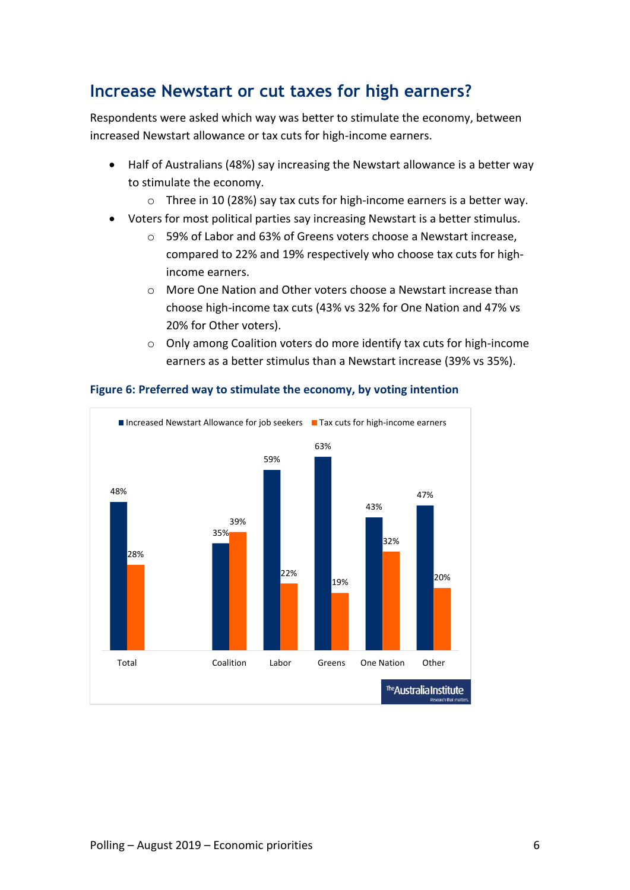### **Increase Newstart or cut taxes for high earners?**

Respondents were asked which way was better to stimulate the economy, between increased Newstart allowance or tax cuts for high-income earners.

- Half of Australians (48%) say increasing the Newstart allowance is a better way to stimulate the economy.
	- o Three in 10 (28%) say tax cuts for high-income earners is a better way.
- Voters for most political parties say increasing Newstart is a better stimulus.
	- o 59% of Labor and 63% of Greens voters choose a Newstart increase, compared to 22% and 19% respectively who choose tax cuts for highincome earners.
	- o More One Nation and Other voters choose a Newstart increase than choose high-income tax cuts (43% vs 32% for One Nation and 47% vs 20% for Other voters).
	- o Only among Coalition voters do more identify tax cuts for high-income earners as a better stimulus than a Newstart increase (39% vs 35%).



### **Figure 6: Preferred way to stimulate the economy, by voting intention**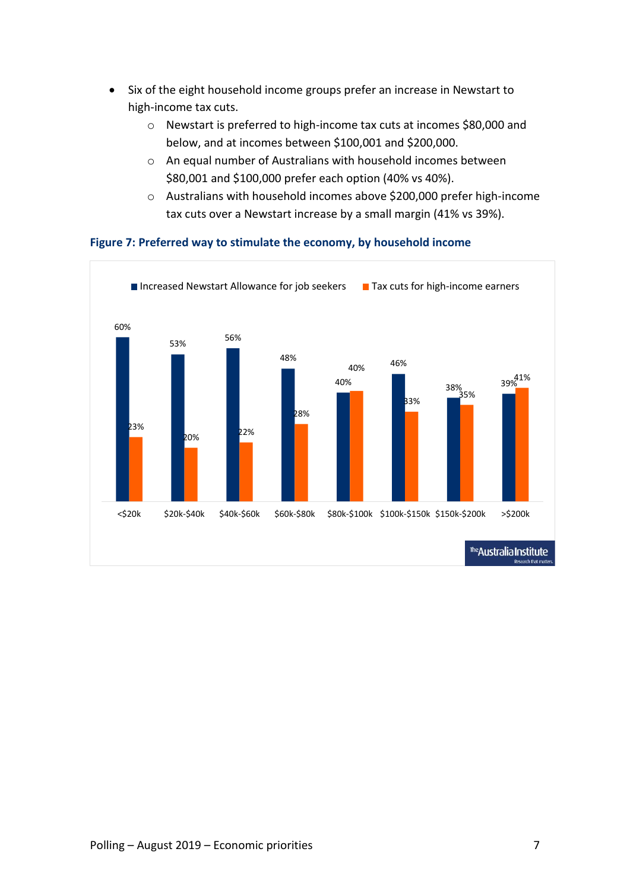- Six of the eight household income groups prefer an increase in Newstart to high-income tax cuts.
	- o Newstart is preferred to high-income tax cuts at incomes \$80,000 and below, and at incomes between \$100,001 and \$200,000.
	- o An equal number of Australians with household incomes between \$80,001 and \$100,000 prefer each option (40% vs 40%).
	- o Australians with household incomes above \$200,000 prefer high-income tax cuts over a Newstart increase by a small margin (41% vs 39%).



#### **Figure 7: Preferred way to stimulate the economy, by household income**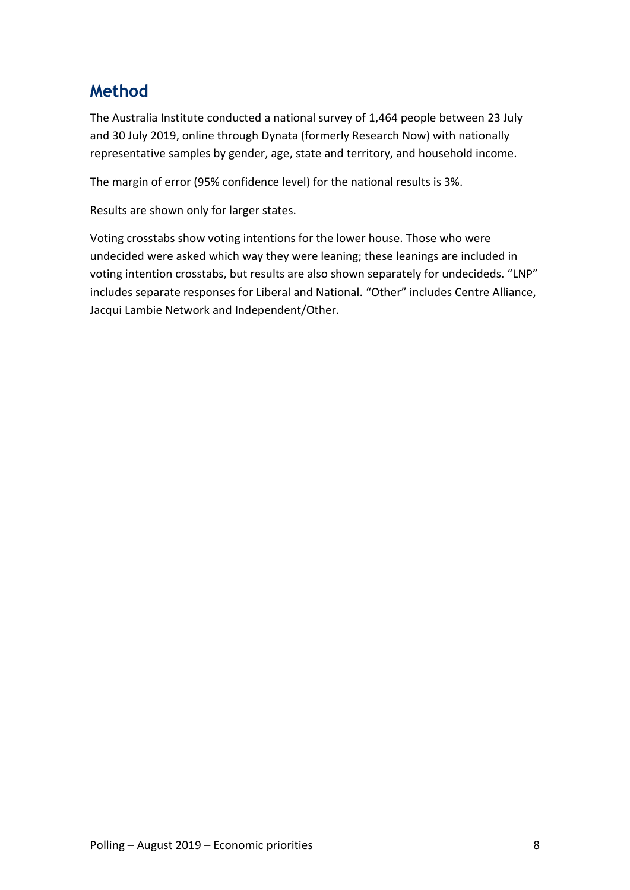## **Method**

The Australia Institute conducted a national survey of 1,464 people between 23 July and 30 July 2019, online through Dynata (formerly Research Now) with nationally representative samples by gender, age, state and territory, and household income.

The margin of error (95% confidence level) for the national results is 3%.

Results are shown only for larger states.

Voting crosstabs show voting intentions for the lower house. Those who were undecided were asked which way they were leaning; these leanings are included in voting intention crosstabs, but results are also shown separately for undecideds. "LNP" includes separate responses for Liberal and National. "Other" includes Centre Alliance, Jacqui Lambie Network and Independent/Other.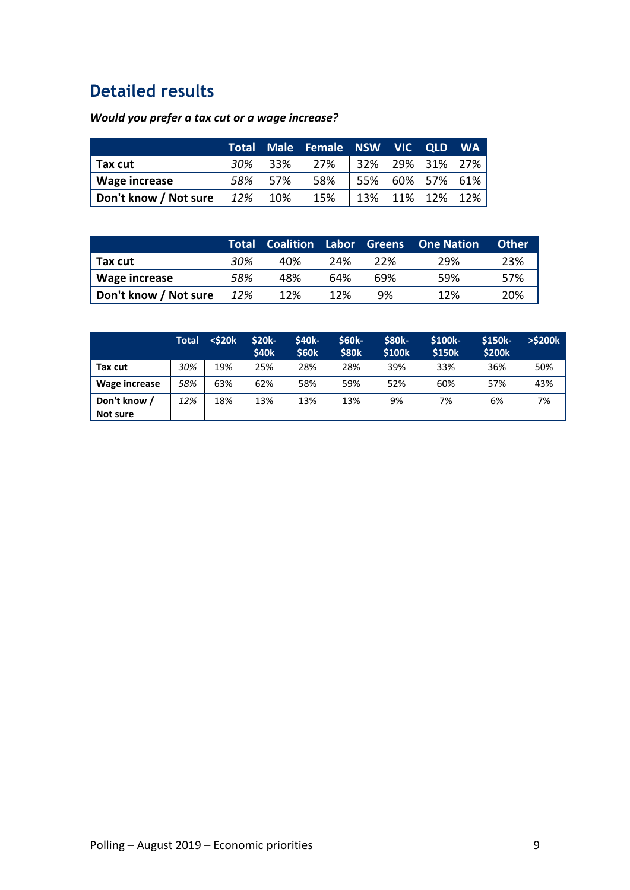# **Detailed results**

### *Would you prefer a tax cut or a wage increase?*

|                       |              |         | Total Male Female NSW VIC QLD WA |                 |  |
|-----------------------|--------------|---------|----------------------------------|-----------------|--|
| $\vert$ Tax cut       |              | 30% 33% | 27% 32% 29% 31% 27%              |                 |  |
| Wage increase         | 58%          | 57%     | 58%                              | 55% 60% 57% 61% |  |
| Don't know / Not sure | $12\%$   10% |         | 15%                              | 13% 11% 12% 12% |  |

|                       |     |     |     |     | Total Coalition Labor Greens One-Nation | <b>Other</b> |
|-----------------------|-----|-----|-----|-----|-----------------------------------------|--------------|
| Tax cut               | 30% | 40% | 24% | 22% | 29%                                     | 23%          |
| Wage increase         | 58% | 48% | 64% | 69% | 59%                                     | 57%          |
| Don't know / Not sure | 12% | 12% | 12% | 9%  | 12%                                     | 20%          |

|               | <b>Total</b> | $<$ \$20 $k$ | <b>\$20k-</b><br>\$40k | <b>\$40k-</b><br><b>\$60k</b> | <b>S60k-</b><br><b>\$80k</b> | <b>\$80k-</b><br>\$100k | <b>S100k-</b><br><b>\$150k</b> | <b>S150k-</b><br>\$200k | $>$ \$200 $k$ |
|---------------|--------------|--------------|------------------------|-------------------------------|------------------------------|-------------------------|--------------------------------|-------------------------|---------------|
| Tax cut       | 30%          | 19%          | 25%                    | 28%                           | 28%                          | 39%                     | 33%                            | 36%                     | 50%           |
| Wage increase | 58%          | 63%          | 62%                    | 58%                           | 59%                          | 52%                     | 60%                            | 57%                     | 43%           |
| Don't know /  | 12%          | 18%          | 13%                    | 13%                           | 13%                          | 9%                      | 7%                             | 6%                      | 7%            |
| Not sure      |              |              |                        |                               |                              |                         |                                |                         |               |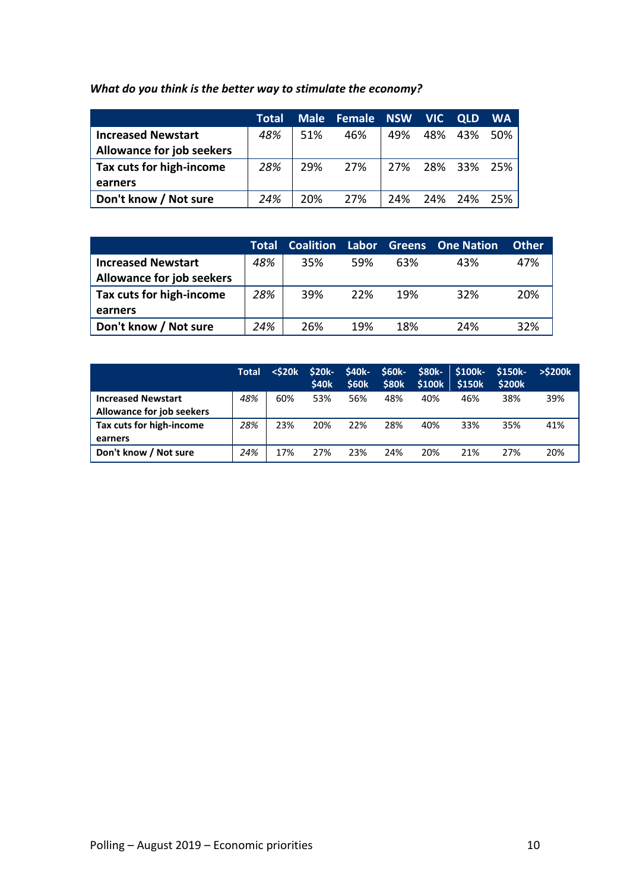### *What do you think is the better way to stimulate the economy?*

|                                  | <b>Total</b> |     | Male Female NSW VIC |                 | <b>OLD</b>      | <b>WA</b> |
|----------------------------------|--------------|-----|---------------------|-----------------|-----------------|-----------|
| <b>Increased Newstart</b>        | 48%          | 51% | 46%                 | 49% 48% 43% 50% |                 |           |
| <b>Allowance for job seekers</b> |              |     |                     |                 |                 |           |
| Tax cuts for high-income         | 28%          | 29% | 27%                 |                 | 27% 28% 33% 25% |           |
| earners                          |              |     |                     |                 |                 |           |
| Don't know / Not sure            | 24%          | 20% | 27%                 |                 | 24% 24% 24% 25% |           |

|                                  | Total | <b>Coalition</b> |     |     | Labor Greens One Nation | <b>Other</b> |
|----------------------------------|-------|------------------|-----|-----|-------------------------|--------------|
| <b>Increased Newstart</b>        | 48%   | 35%              | 59% | 63% | 43%                     | 47%          |
| <b>Allowance for job seekers</b> |       |                  |     |     |                         |              |
| Tax cuts for high-income         | 28%   | 39%              | 22% | 19% | 32%                     | 20%          |
| earners                          |       |                  |     |     |                         |              |
| Don't know / Not sure            | 24%   | 26%              | 19% | 18% | 24%                     | 32%          |

|                                  | Total | $<$ \$20 $k$ | $$20k-$<br><b>\$40k</b> | <b>S40k-</b><br><b>\$60k</b> | <b>S60k-</b><br><b>\$80k</b> | <b>S80k-</b><br>\$100k | S100k-<br><b>\$150k</b> | <b>S150k-</b><br><b>\$200k</b> | $>$ \$200 $k$ |
|----------------------------------|-------|--------------|-------------------------|------------------------------|------------------------------|------------------------|-------------------------|--------------------------------|---------------|
| <b>Increased Newstart</b>        | 48%   | 60%          | 53%                     | 56%                          | 48%                          | 40%                    | 46%                     | 38%                            | 39%           |
| <b>Allowance for job seekers</b> |       |              |                         |                              |                              |                        |                         |                                |               |
| Tax cuts for high-income         | 28%   | 23%          | 20%                     | 22%                          | 28%                          | 40%                    | 33%                     | 35%                            | 41%           |
| earners                          |       |              |                         |                              |                              |                        |                         |                                |               |
| Don't know / Not sure            | 24%   | 17%          | 27%                     | 23%                          | 24%                          | 20%                    | 21%                     | 27%                            | 20%           |